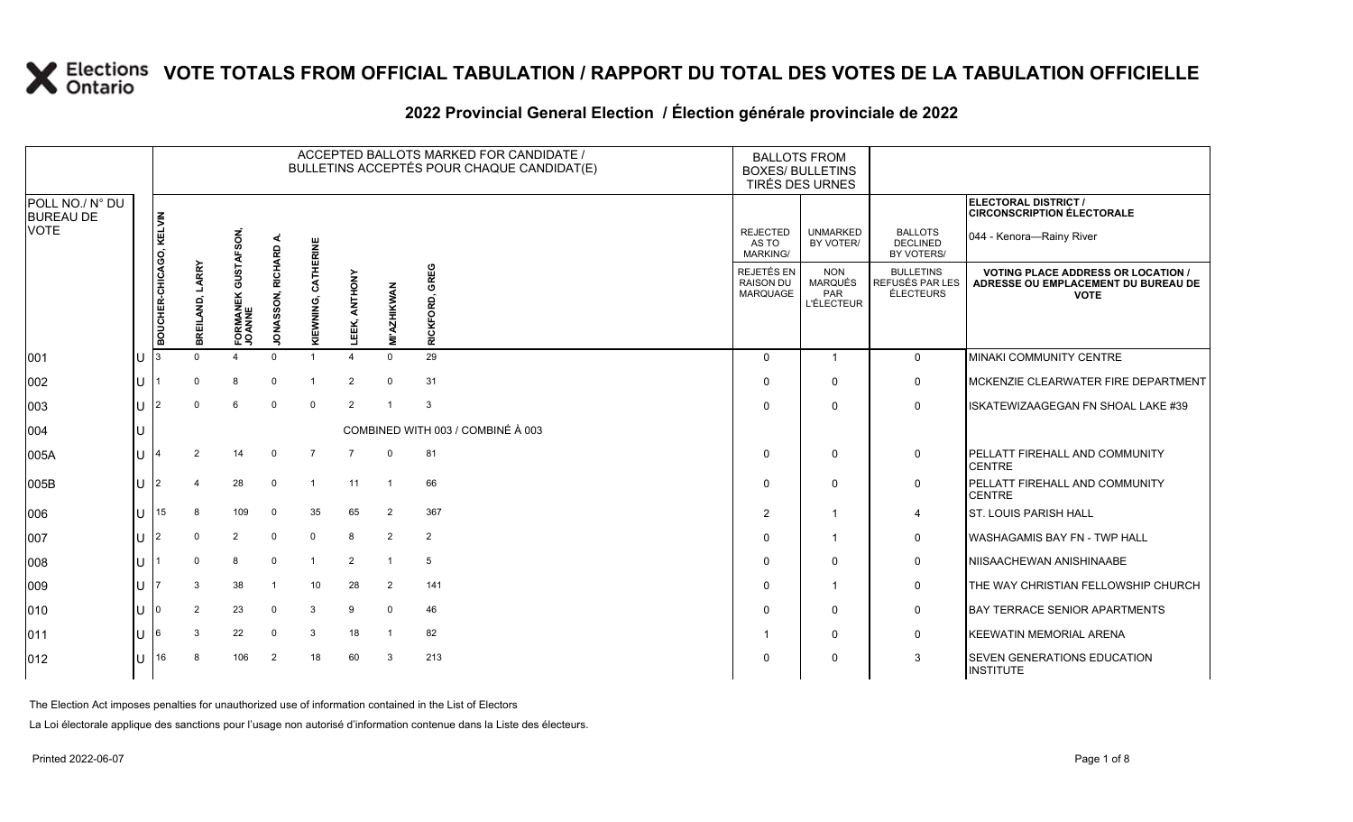#### 2022 Provincial General Election / Election générale provinciale de 2022

|                                     |              | ACCEPTED BALLOTS MARKED FOR CANDIDATE /<br>BULLETINS ACCEPTÉS POUR CHAQUE CANDIDAT(E) |                    |                                      |                             |                    |                  |                    |                                        | <b>BALLOTS FROM</b><br><b>BOXES/ BULLETINS</b><br>TIRÉS DES URNES |                                                   |                                                  |                                                                                               |
|-------------------------------------|--------------|---------------------------------------------------------------------------------------|--------------------|--------------------------------------|-----------------------------|--------------------|------------------|--------------------|----------------------------------------|-------------------------------------------------------------------|---------------------------------------------------|--------------------------------------------------|-----------------------------------------------------------------------------------------------|
| POLL NO./ N° DU<br><b>BUREAU DE</b> |              |                                                                                       |                    |                                      |                             |                    |                  |                    |                                        |                                                                   |                                                   |                                                  | <b>ELECTORAL DISTRICT /</b><br><b>CIRCONSCRIPTION ÉLECTORALE</b>                              |
| <b>VOTE</b>                         |              |                                                                                       |                    | FSON,                                | ∢                           | ERINE              |                  |                    |                                        | <b>REJECTED</b><br>AS TO<br><b>MARKING/</b>                       | <b>UNMARKED</b><br>BY VOTER/                      | <b>BALLOTS</b><br><b>DECLINED</b><br>BY VOTERS/  | 044 - Kenora-Rainy River                                                                      |
|                                     |              | BOUCHER-CHICAGO, KELVIN                                                               | LARRY<br>BREILAND, | <b>GUSTA</b><br>FORMANEK (<br>JOANNE | RICHARD<br><b>JONASSON,</b> | CATHE<br>KIEWNING, | ANTHONY<br>LEEK, | <b>MI'AZHIKWAN</b> | £G<br>종<br><u>ទី</u><br><b>RICKFOI</b> | REJETÉS EN<br><b>RAISON DU</b><br><b>MARQUAGE</b>                 | <b>NON</b><br>MARQUÉS<br>PAR<br><b>L'ÉLECTEUR</b> | <b>BULLETINS</b><br>REFUSÉS PAR LES<br>ÉLECTEURS | <b>VOTING PLACE ADDRESS OR LOCATION</b><br>ADRESSE OU EMPLACEMENT DU BUREAU DE<br><b>VOTE</b> |
| 001                                 | IU           |                                                                                       |                    |                                      | $\Omega$                    |                    |                  | $\Omega$           | 29                                     | $\Omega$                                                          | -1                                                | $\Omega$                                         | <b>MINAKI COMMUNITY CENTRE</b>                                                                |
| 002                                 | ΠT           |                                                                                       | $\Omega$           | 8                                    | $\Omega$                    |                    | $\overline{2}$   | $\mathbf{0}$       | 31                                     | $\Omega$                                                          | $\Omega$                                          | $\mathbf 0$                                      | MCKENZIE CLEARWATER FIRE DEPARTMENT                                                           |
| 003                                 | ΙU           | 12                                                                                    |                    | 6                                    | $\mathbf 0$                 | $\mathbf 0$        | 2                |                    | 3                                      | $\Omega$                                                          | $\Omega$                                          | $\mathbf{0}$                                     | ISKATEWIZAAGEGAN FN SHOAL LAKE #39                                                            |
| 004                                 | Ш            |                                                                                       |                    |                                      |                             |                    |                  |                    | COMBINED WITH 003 / COMBINÉ À 003      |                                                                   |                                                   |                                                  |                                                                                               |
| 005A                                | IU           |                                                                                       | $\mathcal{P}$      | 14                                   | $\Omega$                    | 7                  | 7                | $\Omega$           | 81                                     | $\Omega$                                                          | $\Omega$                                          | 0                                                | PELLATT FIREHALL AND COMMUNITY<br><b>CENTRE</b>                                               |
| 005B                                | IU           | 2                                                                                     |                    | 28                                   | $\Omega$                    | $\overline{1}$     | 11               | $\overline{1}$     | 66                                     | $\Omega$                                                          | $\Omega$                                          | 0                                                | PELLATT FIREHALL AND COMMUNITY<br><b>CENTRE</b>                                               |
| 006                                 | lu           | 15                                                                                    | 8                  | 109                                  | $\overline{0}$              | 35                 | 65               | 2                  | 367                                    | $\overline{2}$                                                    | -1                                                | 4                                                | <b>ST. LOUIS PARISH HALL</b>                                                                  |
| 007                                 | ΙU           | l2                                                                                    | $\Omega$           | 2                                    | $\overline{0}$              | $\mathbf 0$        | 8                | $\overline{2}$     | 2                                      | $\Omega$                                                          | -1                                                | $\mathbf 0$                                      | <b>WASHAGAMIS BAY FN - TWP HALL</b>                                                           |
| 008                                 | U            |                                                                                       | $\Omega$           | 8                                    | $\Omega$                    | $\overline{1}$     | 2                | $\overline{1}$     | 5                                      | $\Omega$                                                          | $\Omega$                                          | $\mathbf 0$                                      | NIISAACHEWAN ANISHINAABE                                                                      |
| 009                                 | IU           |                                                                                       |                    | 38                                   |                             | 10                 | 28               | 2                  | 141                                    | $\Omega$                                                          | -1                                                | $\mathbf 0$                                      | THE WAY CHRISTIAN FELLOWSHIP CHURCH                                                           |
| 010                                 | ΠT           |                                                                                       | $\overline{2}$     | 23                                   | $\overline{0}$              | 3                  | 9                | $\mathbf 0$        | 46                                     | $\Omega$                                                          | $\Omega$                                          | $\mathbf 0$                                      | <b>BAY TERRACE SENIOR APARTMENTS</b>                                                          |
| 011                                 | lU           | 16                                                                                    | 3                  | 22                                   | $\overline{0}$              | 3                  | 18               | - 1                | 82                                     |                                                                   | $\Omega$                                          | $\mathbf 0$                                      | KEEWATIN MEMORIAL ARENA                                                                       |
| $ 012\rangle$                       | $\mathbf{U}$ | 16                                                                                    | 8                  | 106                                  | $\overline{2}$              | 18                 | 60               | 3                  | 213                                    | $\Omega$                                                          | $\Omega$                                          | 3                                                | SEVEN GENERATIONS EDUCATION<br><b>INSTITUTE</b>                                               |

The Election Act imposes penalties for unauthorized use of information contained in the List of Electors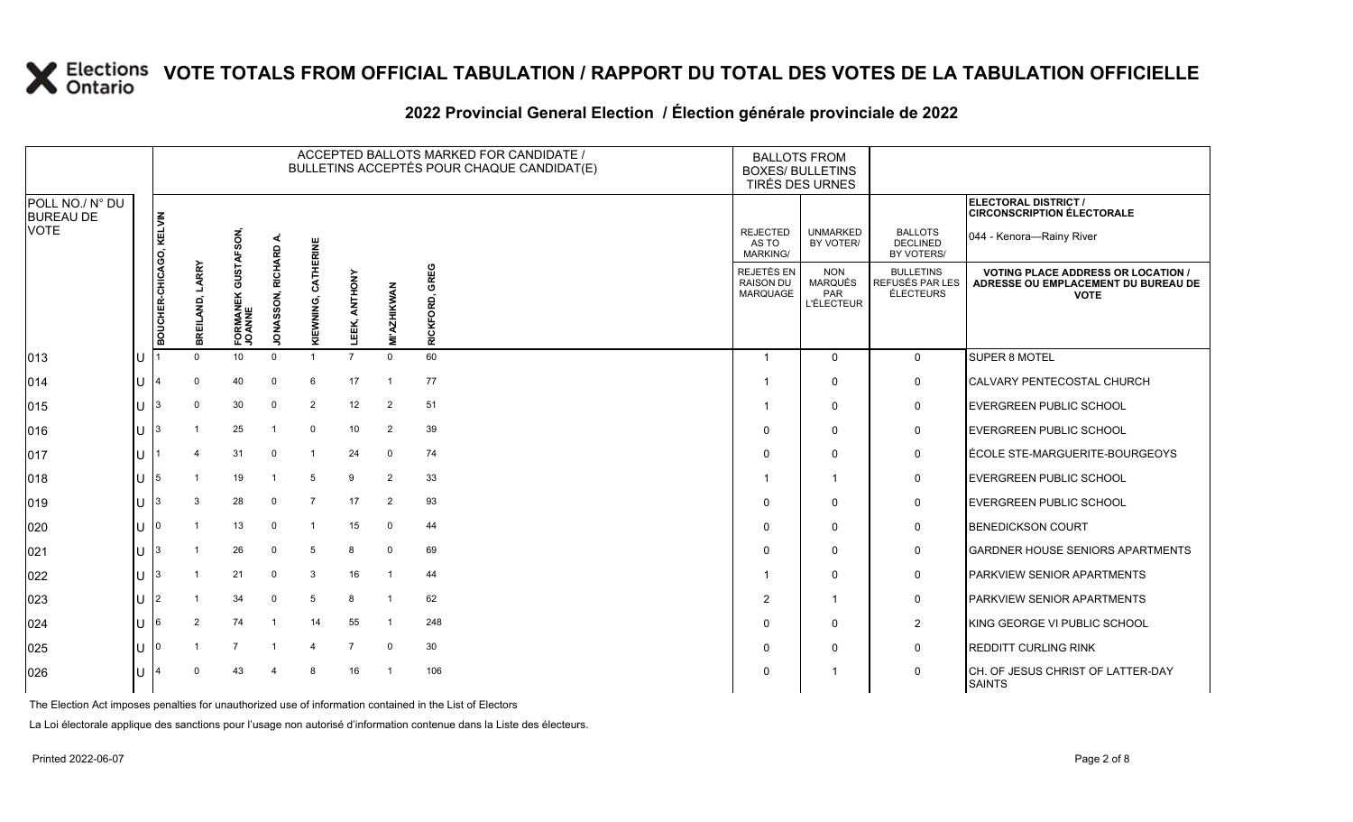### **2022 Provincial General Election / Élection générale provinciale de 2022**

|                                     |                    | ACCEPTED BALLOTS MARKED FOR CANDIDATE /<br>BULLETINS ACCEPTÉS POUR CHAQUE CANDIDAT(E) |                    |                                |                                  |                       |                  |                         |                            | <b>BOXES/ BULLETINS</b>                    | <b>BALLOTS FROM</b><br>TIRÉS DES URNES                   |                                                  |                                                                                               |
|-------------------------------------|--------------------|---------------------------------------------------------------------------------------|--------------------|--------------------------------|----------------------------------|-----------------------|------------------|-------------------------|----------------------------|--------------------------------------------|----------------------------------------------------------|--------------------------------------------------|-----------------------------------------------------------------------------------------------|
| POLL NO./ N° DU<br><b>BUREAU DE</b> |                    |                                                                                       |                    |                                |                                  |                       |                  |                         |                            |                                            |                                                          |                                                  | <b>ELECTORAL DISTRICT /</b><br><b>CIRCONSCRIPTION ÉLECTORALE</b>                              |
| <b>VOTE</b>                         |                    |                                                                                       |                    | SON,                           |                                  | ERINE                 |                  |                         |                            | <b>REJECTED</b><br>AS TO<br>MARKING/       | <b>UNMARKED</b><br>BY VOTER/                             | <b>BALLOTS</b><br><b>DECLINED</b><br>BY VOTERS/  | 044 - Kenora-Rainy River                                                                      |
|                                     |                    | BOUCHER-CHICAGO, KELVIN                                                               | LARRY<br>BREILAND, | 5<br>0<br>FORMANEK (<br>JOANNE | RICHARD<br>SON,<br><b>JONASS</b> | CATHI<br>EWNING,<br>⊽ | ANTHONY<br>LEEK, | <b>MI'AZHIKWAN</b>      | GREG<br>ģ<br><b>RICKFO</b> | REJETÉS EN<br><b>RAISON DU</b><br>MARQUAGE | <b>NON</b><br><b>MARQUÉS</b><br>PAR<br><b>L'ÉLECTEUR</b> | <b>BULLETINS</b><br>REFUSÉS PAR LES<br>ÉLECTEURS | <b>VOTING PLACE ADDRESS OR LOCATION</b><br>ADRESSE OU EMPLACEMENT DU BUREAU DE<br><b>VOTE</b> |
| 013                                 | U                  |                                                                                       | $\Omega$           | 10 <sup>°</sup>                | $\Omega$                         | $\overline{1}$        | $\overline{7}$   | $\Omega$                | 60                         | $\overline{\mathbf{1}}$                    | $\mathbf 0$                                              | $\mathbf{0}$                                     | SUPER 8 MOTEL                                                                                 |
| 014                                 | lU.                |                                                                                       | $\Omega$           | 40                             | $\Omega$                         | 6                     | 17               | $\overline{1}$          | 77                         |                                            | $\Omega$                                                 | $\mathbf 0$                                      | <b>CALVARY PENTECOSTAL CHURCH</b>                                                             |
| 015                                 | lu-                | 3                                                                                     | $\Omega$           | 30                             | $\mathbf 0$                      | 2                     | 12               | $\overline{2}$          | 51                         |                                            | $\Omega$                                                 | 0                                                | <b>EVERGREEN PUBLIC SCHOOL</b>                                                                |
| 016                                 | $ U $ <sup>3</sup> |                                                                                       |                    | 25                             |                                  | $\mathbf 0$           | 10               | 2                       | 39                         | $\Omega$                                   | $\Omega$                                                 | 0                                                | EVERGREEN PUBLIC SCHOOL                                                                       |
| 017                                 | ΙU                 |                                                                                       |                    | 31                             | $\Omega$                         | $\mathbf{1}$          | 24               | $\mathbf 0$             | 74                         | $\Omega$                                   | $\Omega$                                                 | $\mathsf{O}$                                     | ÉCOLE STE-MARGUERITE-BOURGEOYS                                                                |
| 018                                 | lU.                | 15                                                                                    |                    | 19                             |                                  | 5                     | 9                | $\overline{2}$          | 33                         |                                            | -1                                                       | $\mathbf 0$                                      | EVERGREEN PUBLIC SCHOOL                                                                       |
| $ 019\rangle$                       | lU.                | 3                                                                                     | 3                  | 28                             | $\Omega$                         | $\overline{7}$        | 17               | $\overline{2}$          | 93                         | $\Omega$                                   | $\Omega$                                                 | $\mathbf 0$                                      | <b>EVERGREEN PUBLIC SCHOOL</b>                                                                |
| 020                                 | IП                 |                                                                                       |                    | 13                             | $\Omega$                         | $\overline{1}$        | 15               | 0                       | 44                         | $\Omega$                                   | $\Omega$                                                 | 0                                                | <b>BENEDICKSON COURT</b>                                                                      |
| 021                                 | U                  | 13                                                                                    |                    | 26                             | $\Omega$                         | 5                     | 8                | $\mathbf 0$             | 69                         | $\Omega$                                   | $\Omega$                                                 | $\mathbf 0$                                      | <b>GARDNER HOUSE SENIORS APARTMENTS</b>                                                       |
| 022                                 | lu-                | l3                                                                                    |                    | 21                             | 0                                | 3                     | 16               | $\overline{\mathbf{1}}$ | 44                         |                                            | $\Omega$                                                 | $\mathbf 0$                                      | PARKVIEW SENIOR APARTMENTS                                                                    |
| 023                                 | lu-                | 12                                                                                    |                    | 34                             | $\Omega$                         | 5                     | 8                | -1                      | 62                         | $\overline{2}$                             | -1                                                       | $\mathbf 0$                                      | PARKVIEW SENIOR APARTMENTS                                                                    |
| 024                                 | lU.                | I6                                                                                    | 2                  | 74                             |                                  | 14                    | 55               | $\overline{1}$          | 248                        | $\Omega$                                   | $\mathbf 0$                                              | $\overline{2}$                                   | KING GEORGE VI PUBLIC SCHOOL                                                                  |
| 025                                 | ΙU                 |                                                                                       |                    | $\overline{7}$                 |                                  | $\overline{4}$        | $\overline{7}$   | $\mathbf 0$             | 30                         | $\Omega$                                   | $\Omega$                                                 | 0                                                | <b>REDDITT CURLING RINK</b>                                                                   |
| 026                                 | ΠT                 |                                                                                       |                    | 43                             |                                  | 8                     | 16               | - 1                     | 106                        | $\Omega$                                   |                                                          | 0                                                | CH. OF JESUS CHRIST OF LATTER-DAY<br><b>SAINTS</b>                                            |

The Election Act imposes penalties for unauthorized use of information contained in the List of Electors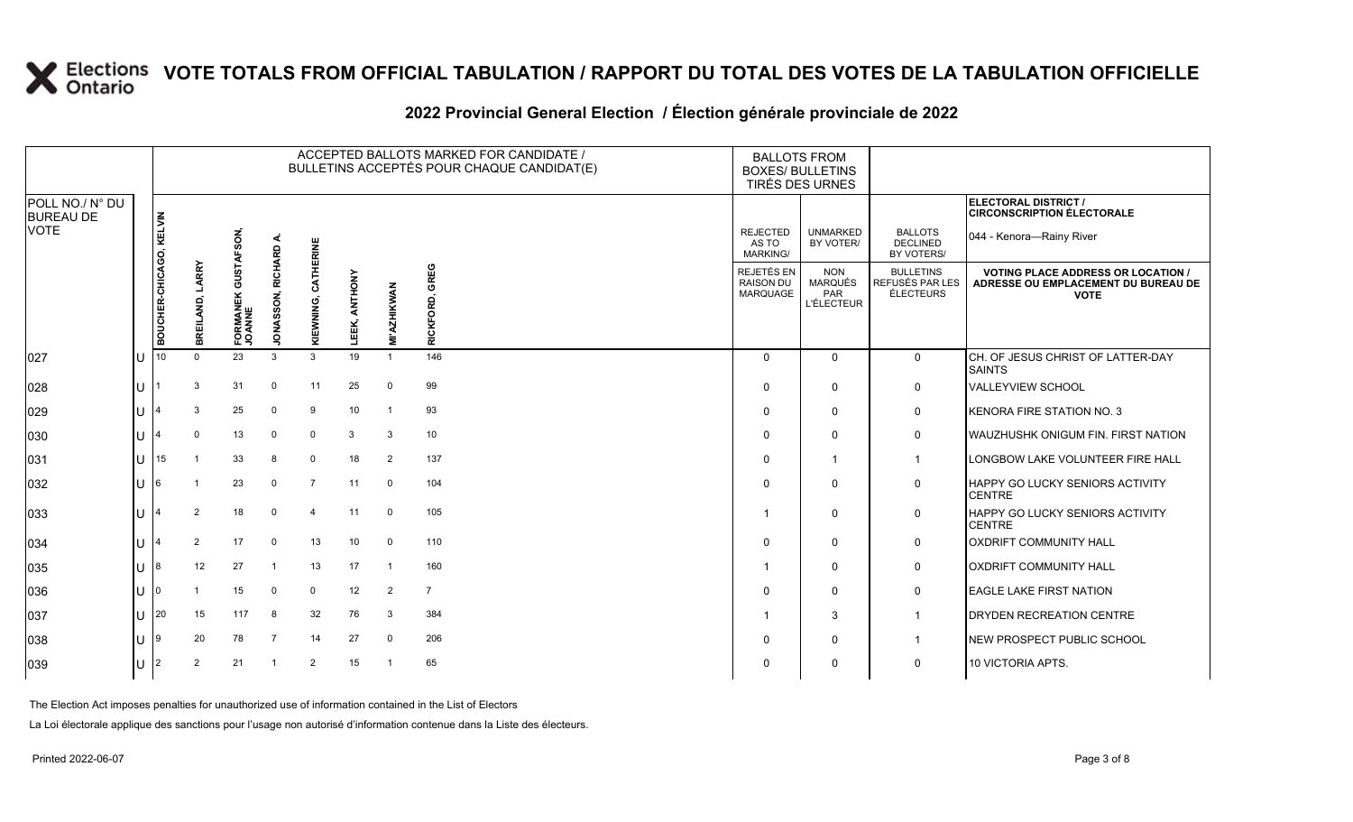### **2022 Provincial General Election / Élection générale provinciale de 2022**

|                                     |                      | ACCEPTED BALLOTS MARKED FOR CANDIDATE /<br>BULLETINS ACCEPTÉS POUR CHAQUE CANDIDAT(E) |                    |                               |                   |                          |                 |                    |                          | <b>BALLOTS FROM</b><br><b>BOXES/ BULLETINS</b> | TIRÉS DES URNES                                          |                                                  |                                                                                                 |
|-------------------------------------|----------------------|---------------------------------------------------------------------------------------|--------------------|-------------------------------|-------------------|--------------------------|-----------------|--------------------|--------------------------|------------------------------------------------|----------------------------------------------------------|--------------------------------------------------|-------------------------------------------------------------------------------------------------|
| POLL NO./ N° DU<br><b>BUREAU DE</b> |                      |                                                                                       |                    |                               |                   |                          |                 |                    |                          |                                                |                                                          |                                                  | ELECTORAL DISTRICT /<br><b>CIRCONSCRIPTION ÉLECTORALE</b>                                       |
| <b>VOTE</b>                         |                      |                                                                                       |                    |                               | ⋖                 | ERINE                    |                 |                    |                          | <b>REJECTED</b><br>AS TO<br><b>MARKING/</b>    | <b>UNMARKED</b><br>BY VOTER/                             | <b>BALLOTS</b><br><b>DECLINED</b><br>BY VOTERS/  | 044 - Kenora—Rainy River                                                                        |
|                                     |                      | BOUCHER-CHICAGO, KELVIN                                                               | LARRY<br>BREILAND, | FORMANEK GUSTAFSON,<br>JOANNE | JONASSON, RICHARD | CATHI<br>KIEWNING,       | ANTHONY<br>EEK, | <b>MI'AZHIKWAN</b> | <b>GREG</b><br>RICKFORD, | REJETÉS EN<br><b>RAISON DU</b><br>MARQUAGE     | <b>NON</b><br><b>MARQUÉS</b><br>PAR<br><b>L'ÉLECTEUR</b> | <b>BULLETINS</b><br>REFUSÉS PAR LES<br>ÉLECTEURS | <b>VOTING PLACE ADDRESS OR LOCATION /</b><br>ADRESSE OU EMPLACEMENT DU BUREAU DE<br><b>VOTE</b> |
| 027                                 | $\mathbf{U}$         |                                                                                       | $\Omega$           | 23                            | 3                 | 3                        | 19              |                    | 146                      | $\Omega$                                       | $\Omega$                                                 | $\overline{0}$                                   | CH. OF JESUS CHRIST OF LATTER-DAY<br><b>SAINTS</b>                                              |
| 028                                 | U                    |                                                                                       | 3                  | 31                            | $\Omega$          | 11                       | 25              | 0                  | 99                       | $\mathbf{0}$                                   | $\mathbf 0$                                              | 0                                                | <b>VALLEYVIEW SCHOOL</b>                                                                        |
| 029                                 | U                    |                                                                                       | 3                  | 25                            | $\Omega$          | 9                        | 10              | $\overline{1}$     | 93                       | $\Omega$                                       | $\mathbf 0$                                              | $\mathbf 0$                                      | KENORA FIRE STATION NO. 3                                                                       |
| 030                                 | U                    |                                                                                       | $\Omega$           | 13                            | $\Omega$          | $\mathbf 0$              | 3               | 3                  | 10                       | $\Omega$                                       | $\mathbf 0$                                              | 0                                                | <b>WAUZHUSHK ONIGUM FIN. FIRST NATION</b>                                                       |
| 031                                 | $\mathbf{U}$         | 15                                                                                    |                    | 33                            | 8                 | $\mathbf 0$              | 18              | 2                  | 137                      | $\Omega$                                       | $\overline{1}$                                           | $\mathbf{1}$                                     | LONGBOW LAKE VOLUNTEER FIRE HALL                                                                |
| 032                                 | U                    | 16                                                                                    |                    | 23                            | $\Omega$          | $\overline{7}$           | 11              | $\mathbf 0$        | 104                      | $\Omega$                                       | $\Omega$                                                 | $\mathbf 0$                                      | <b>HAPPY GO LUCKY SENIORS ACTIVITY</b><br><b>CENTRE</b>                                         |
| 033                                 | U                    |                                                                                       | 2                  | 18                            | $\Omega$          | $\boldsymbol{\varDelta}$ | 11              | $\mathbf 0$        | 105                      |                                                | $\mathbf 0$                                              | 0                                                | HAPPY GO LUCKY SENIORS ACTIVITY<br><b>CENTRE</b>                                                |
| 034                                 | U                    |                                                                                       | 2                  | 17                            | $\mathbf 0$       | 13                       | 10              | $\mathbf 0$        | 110                      | $\Omega$                                       | 0                                                        | $\mathbf 0$                                      | <b>OXDRIFT COMMUNITY HALL</b>                                                                   |
| 035                                 | U                    | 18                                                                                    | 12                 | 27                            | -1                | 13                       | 17              | -1                 | 160                      |                                                | $\mathbf 0$                                              | $\mathbf 0$                                      | <b>OXDRIFT COMMUNITY HALL</b>                                                                   |
| 036                                 | U                    | 10                                                                                    |                    | 15                            | $\Omega$          | $\mathbf 0$              | 12              | 2                  | $\overline{7}$           | $\Omega$                                       | $\mathbf 0$                                              | $\mathbf 0$                                      | <b>EAGLE LAKE FIRST NATION</b>                                                                  |
| 037                                 |                      | $U$ 20                                                                                | 15                 | 117                           | 8                 | 32                       | 76              | 3                  | 384                      |                                                | 3                                                        | $\overline{1}$                                   | DRYDEN RECREATION CENTRE                                                                        |
| 038                                 | $\lfloor \rfloor$  9 |                                                                                       | 20                 | 78                            | $\overline{7}$    | 14                       | 27              | $\mathbf 0$        | 206                      |                                                | $\mathbf 0$                                              | $\overline{1}$                                   | NEW PROSPECT PUBLIC SCHOOL                                                                      |
| 039                                 | U                    | l2                                                                                    | 2                  | 21                            | -1                | 2                        | 15              | $\overline{1}$     | 65                       | $\Omega$                                       | $\mathbf 0$                                              | $\mathbf 0$                                      | 10 VICTORIA APTS.                                                                               |

The Election Act imposes penalties for unauthorized use of information contained in the List of Electors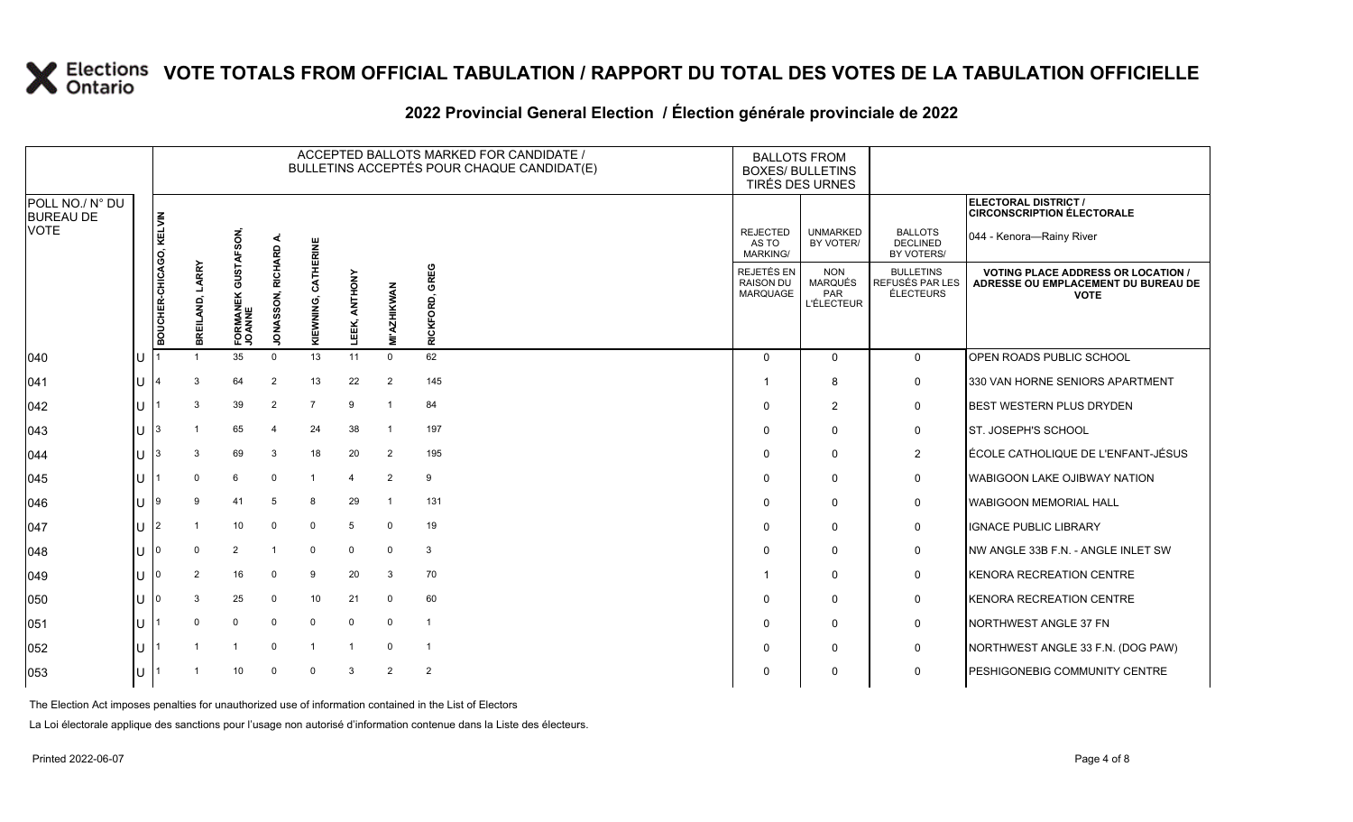### **2022 Provincial General Election / Élection générale provinciale de 2022**

|                                     |   | ACCEPTED BALLOTS MARKED FOR CANDIDATE /<br>BULLETINS ACCEPTÉS POUR CHAQUE CANDIDAT(E) |                    |                      |                             |                     |                  |                    |                                    | <b>BALLOTS FROM</b><br><b>BOXES/ BULLETINS</b><br>TIRÉS DES URNES |                                                          |                                                  |                                                                                                 |
|-------------------------------------|---|---------------------------------------------------------------------------------------|--------------------|----------------------|-----------------------------|---------------------|------------------|--------------------|------------------------------------|-------------------------------------------------------------------|----------------------------------------------------------|--------------------------------------------------|-------------------------------------------------------------------------------------------------|
| POLL NO./ N° DU<br><b>BUREAU DE</b> |   |                                                                                       |                    |                      |                             |                     |                  |                    |                                    |                                                                   |                                                          |                                                  | ELECTORAL DISTRICT /<br><b>CIRCONSCRIPTION ÉLECTORALE</b>                                       |
| <b>VOTE</b>                         |   |                                                                                       |                    | <b>GUSTAFSON</b>     | ⋖                           | ERINE               |                  |                    |                                    | <b>REJECTED</b><br>AS TO<br><b>MARKING/</b>                       | <b>UNMARKED</b><br>BY VOTER/                             | <b>BALLOTS</b><br><b>DECLINED</b><br>BY VOTERS/  | 044 - Kenora-Rainy River                                                                        |
|                                     |   | BOUCHER-CHICAGO, KELVIN                                                               | LARRY<br>BREILAND, | FORMANEK (<br>JOANNE | RICHARD<br><b>JONASSON,</b> | 콭<br>Š<br>KIEWNING, | ANTHONY<br>LEEK, | <b>MI'AZHIKWAN</b> | GREG<br><u>ទី</u><br><b>RICKFO</b> | REJETÉS EN<br><b>RAISON DU</b><br>MARQUAGE                        | <b>NON</b><br><b>MARQUÉS</b><br>PAR<br><b>L'ÉLECTEUR</b> | <b>BULLETINS</b><br>REFUSÉS PAR LES<br>ÉLECTEURS | <b>VOTING PLACE ADDRESS OR LOCATION /</b><br>ADRESSE OU EMPLACEMENT DU BUREAU DE<br><b>VOTE</b> |
| 040                                 |   |                                                                                       |                    | 35                   | $\Omega$                    | 13                  | 11               | $\mathbf 0$        | 62                                 | $\Omega$                                                          | $\Omega$                                                 | $\mathbf 0$                                      | <b>OPEN ROADS PUBLIC SCHOOL</b>                                                                 |
| 041                                 |   |                                                                                       |                    | 64                   | 2                           | 13                  | 22               | 2                  | 145                                |                                                                   | 8                                                        | 0                                                | 330 VAN HORNE SENIORS APARTMENT                                                                 |
| 042                                 | U |                                                                                       | 3                  | 39                   | 2                           | $\overline{7}$      | ٩                | $\mathbf 1$        | 84                                 | $\Omega$                                                          | $\overline{2}$                                           | 0                                                | <b>BEST WESTERN PLUS DRYDEN</b>                                                                 |
| 043                                 | U |                                                                                       |                    | 65                   | $\Delta$                    | 24                  | 38               | $\overline{1}$     | 197                                | $\Omega$                                                          | $\Omega$                                                 | 0                                                | <b>ST. JOSEPH'S SCHOOL</b>                                                                      |
| 044                                 |   |                                                                                       | 3                  | 69                   | 3                           | 18                  | 20               | $\overline{2}$     | 195                                | $\Omega$                                                          | $\Omega$                                                 | $\overline{2}$                                   | ÉCOLE CATHOLIQUE DE L'ENFANT-JÉSUS                                                              |
| 045                                 |   |                                                                                       | $\Omega$           | 6                    | $\Omega$                    | $\mathbf{1}$        | 4                | 2                  | 9                                  | $\Omega$                                                          | $\mathbf 0$                                              | $\mathbf 0$                                      | <b>IWABIGOON LAKE OJIBWAY NATION</b>                                                            |
| 046                                 | U |                                                                                       | 9                  | 41                   | 5                           | 8                   | 29               | $\overline{1}$     | 131                                | $\Omega$                                                          | $\Omega$                                                 | 0                                                | <b>WABIGOON MEMORIAL HALL</b>                                                                   |
| 047                                 |   |                                                                                       |                    | 10                   | $\mathbf 0$                 | $\mathbf 0$         | 5                | $\mathbf 0$        | 19                                 | $\Omega$                                                          | $\Omega$                                                 | 0                                                | IGNACE PUBLIC LIBRARY                                                                           |
| 048                                 | U |                                                                                       | <sup>0</sup>       | 2                    |                             | $\mathbf 0$         | $\mathbf 0$      | $\mathbf 0$        | 3                                  | $\Omega$                                                          | $\Omega$                                                 | 0                                                | INW ANGLE 33B F.N. - ANGLE INLET SW                                                             |
| 049                                 | U |                                                                                       | 2                  | 16                   | $\Omega$                    | 9                   | 20               | 3                  | 70                                 |                                                                   | $\Omega$                                                 | 0                                                | <b>KENORA RECREATION CENTRE</b>                                                                 |
| 050                                 | U |                                                                                       | 3                  | 25                   | $\Omega$                    | 10                  | 21               | $\mathbf 0$        | 60                                 | $\Omega$                                                          | $\mathbf 0$                                              | 0                                                | KENORA RECREATION CENTRE                                                                        |
| 051                                 | U |                                                                                       |                    | $\mathbf 0$          | $\Omega$                    | $\mathbf 0$         | $\mathbf 0$      | $\mathbf 0$        | $\overline{1}$                     | $\Omega$                                                          | $\Omega$                                                 | 0                                                | NORTHWEST ANGLE 37 FN                                                                           |
| 052                                 | U |                                                                                       |                    | -1                   | $\Omega$                    |                     | $\mathbf{1}$     | $\mathbf 0$        | $\overline{1}$                     | $\Omega$                                                          | $\mathbf 0$                                              | 0                                                | NORTHWEST ANGLE 33 F.N. (DOG PAW)                                                               |
| 053                                 |   |                                                                                       |                    | 10                   | $\Omega$                    | $\overline{0}$      | 3                | 2                  | $\overline{2}$                     | $\Omega$                                                          | $\Omega$                                                 | $\mathbf 0$                                      | <b>IPESHIGONEBIG COMMUNITY CENTRE</b>                                                           |

The Election Act imposes penalties for unauthorized use of information contained in the List of Electors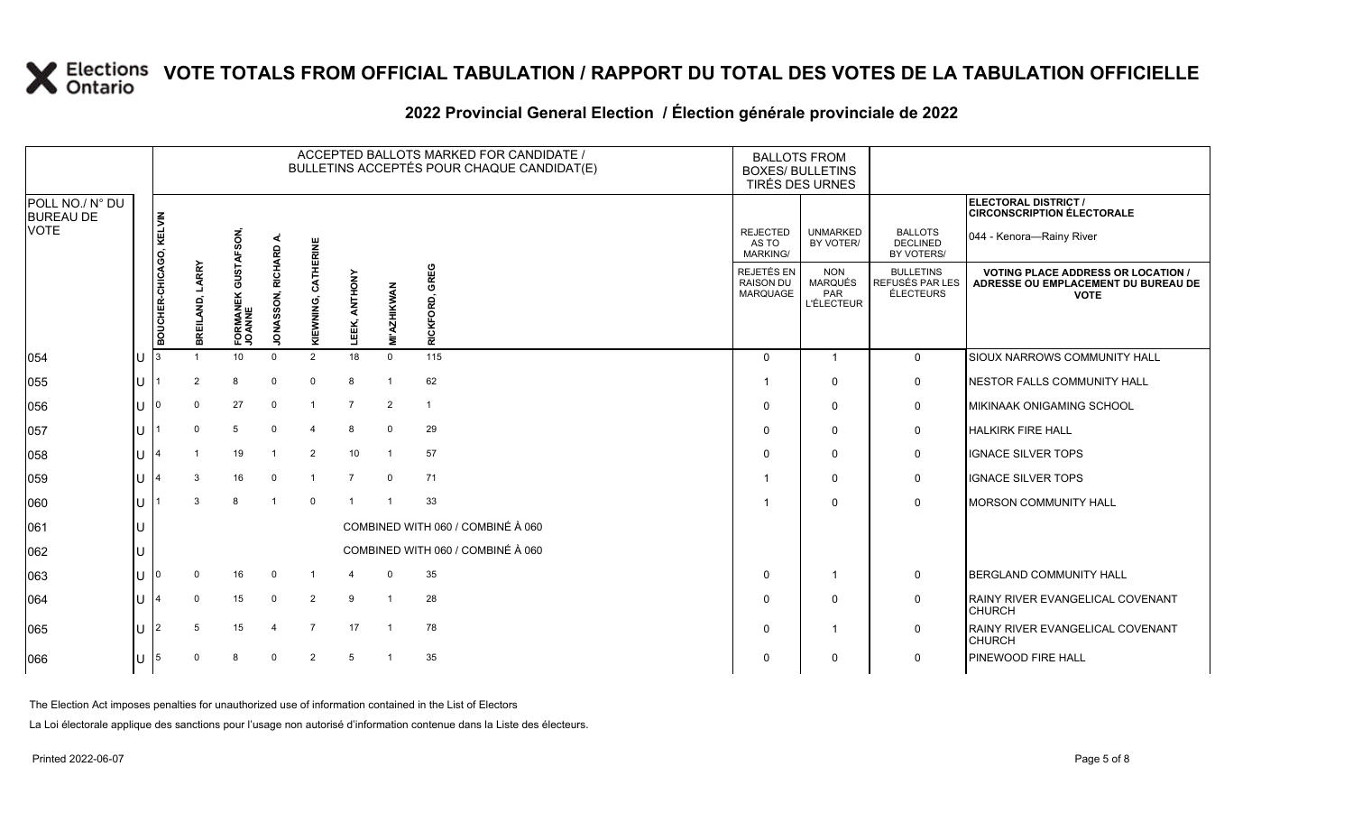### **2022 Provincial General Election / Élection générale provinciale de 2022**

|                                     |    |                         |                    |                               |                   |                        |                  |                    | ACCEPTED BALLOTS MARKED FOR CANDIDATE /<br>BULLETINS ACCEPTÉS POUR CHAQUE CANDIDAT(E) | <b>BALLOTS FROM</b><br><b>BOXES/ BULLETINS</b><br>TIRÉS DES URNES |                                                          |                                                         |                                                                                                 |
|-------------------------------------|----|-------------------------|--------------------|-------------------------------|-------------------|------------------------|------------------|--------------------|---------------------------------------------------------------------------------------|-------------------------------------------------------------------|----------------------------------------------------------|---------------------------------------------------------|-------------------------------------------------------------------------------------------------|
| POLL NO./ N° DU<br><b>BUREAU DE</b> |    |                         |                    |                               |                   |                        |                  |                    |                                                                                       |                                                                   |                                                          |                                                         | <b>ELECTORAL DISTRICT /</b><br><b>CIRCONSCRIPTION ÉLECTORALE</b>                                |
| <b>VOTE</b>                         |    |                         |                    |                               | ∢                 |                        |                  |                    |                                                                                       | <b>REJECTED</b><br>AS TO<br><b>MARKING/</b>                       | <b>UNMARKED</b><br>BY VOTER/                             | <b>BALLOTS</b><br><b>DECLINED</b><br>BY VOTERS/         | 044 - Kenora-Rainy River                                                                        |
|                                     |    | BOUCHER-CHICAGO, KELVIN | LARRY<br>BREILAND, | FORMANEK GUSTAFSON,<br>JOANNE | JONASSON, RICHARD | CATHERINE<br>KIEWNING, | ANTHONY<br>LEEK, | <b>MI'AZHIKWAN</b> | GREG<br>RICKFORD,                                                                     | REJETÉS EN<br><b>RAISON DU</b><br>MARQUAGE                        | <b>NON</b><br><b>MARQUÉS</b><br>PAR<br><b>L'ÉLECTEUR</b> | <b>BULLETINS</b><br>REFUSÉS PAR LES<br><b>ÉLECTEURS</b> | <b>VOTING PLACE ADDRESS OR LOCATION /</b><br>ADRESSE OU EMPLACEMENT DU BUREAU DE<br><b>VOTE</b> |
| 054                                 | ΙU |                         |                    | 10                            | $\Omega$          | $\overline{2}$         | 18               | $\Omega$           | 115                                                                                   | $\Omega$                                                          | $\overline{1}$                                           | $\mathbf 0$                                             | SIOUX NARROWS COMMUNITY HALL                                                                    |
| 055                                 | lu |                         | $\overline{2}$     | 8                             | $\Omega$          | $\Omega$               | 8                |                    | 62                                                                                    |                                                                   | $\mathbf 0$                                              | $\mathbf 0$                                             | NESTOR FALLS COMMUNITY HALL                                                                     |
| 056                                 | lu |                         | $\mathbf 0$        | 27                            | $\mathbf 0$       | -1                     | 7                | $\overline{2}$     | $\overline{1}$                                                                        | 0                                                                 | $\mathbf 0$                                              | 0                                                       | <b>MIKINAAK ONIGAMING SCHOOL</b>                                                                |
| 057                                 | lu |                         | $\Omega$           | 5                             | $\Omega$          | $\overline{4}$         | 8                | $\mathbf 0$        | 29                                                                                    | $\Omega$                                                          | $\mathbf 0$                                              | $\mathbf 0$                                             | <b>HALKIRK FIRE HALL</b>                                                                        |
| 058                                 | Iп |                         |                    | 19                            |                   | $\overline{2}$         | 10 <sup>°</sup>  | $\overline{1}$     | 57                                                                                    | 0                                                                 | $\mathbf 0$                                              | 0                                                       | <b>IGNACE SILVER TOPS</b>                                                                       |
| 059                                 | Iυ |                         | 3                  | 16                            | $\Omega$          | -1                     | $\overline{7}$   | $\Omega$           | 71                                                                                    |                                                                   | 0                                                        | 0                                                       | IGNACE SILVER TOPS                                                                              |
| 060                                 | lu |                         | 3                  | 8                             | -1                | $\mathbf 0$            | $\overline{1}$   | $\overline{1}$     | 33                                                                                    |                                                                   | $\Omega$                                                 | $\mathbf 0$                                             | <b>MORSON COMMUNITY HALL</b>                                                                    |
| 061                                 | Iυ |                         |                    |                               |                   |                        |                  |                    | COMBINED WITH 060 / COMBINÉ À 060                                                     |                                                                   |                                                          |                                                         |                                                                                                 |
| 062                                 | lu |                         |                    |                               |                   |                        |                  |                    | COMBINED WITH 060 / COMBINÉ À 060                                                     |                                                                   |                                                          |                                                         |                                                                                                 |
| 063                                 | lu |                         | 0                  | 16                            | $\mathbf 0$       | -1                     |                  | $\mathbf 0$        | 35                                                                                    | $\Omega$                                                          |                                                          | 0                                                       | BERGLAND COMMUNITY HALL                                                                         |
| 064                                 | lu |                         | $\mathbf 0$        | 15                            | $\mathbf 0$       | $\overline{2}$         | 9                | $\overline{1}$     | 28                                                                                    | $\Omega$                                                          | $\mathbf 0$                                              | 0                                                       | RAINY RIVER EVANGELICAL COVENANT<br><b>CHURCH</b>                                               |
| 065                                 | Iυ | 2                       | 5                  | 15                            |                   | $\overline{7}$         | 17               | $\overline{1}$     | 78                                                                                    | $\Omega$                                                          |                                                          | 0                                                       | <b>RAINY RIVER EVANGELICAL COVENANT</b><br><b>CHURCH</b>                                        |
| 066                                 | Iυ | 5                       |                    | 8                             | $\Omega$          | $\overline{2}$         | 5                | $\overline{1}$     | 35                                                                                    | 0                                                                 | $\mathbf 0$                                              | 0                                                       | <b>PINEWOOD FIRE HALL</b>                                                                       |

The Election Act imposes penalties for unauthorized use of information contained in the List of Electors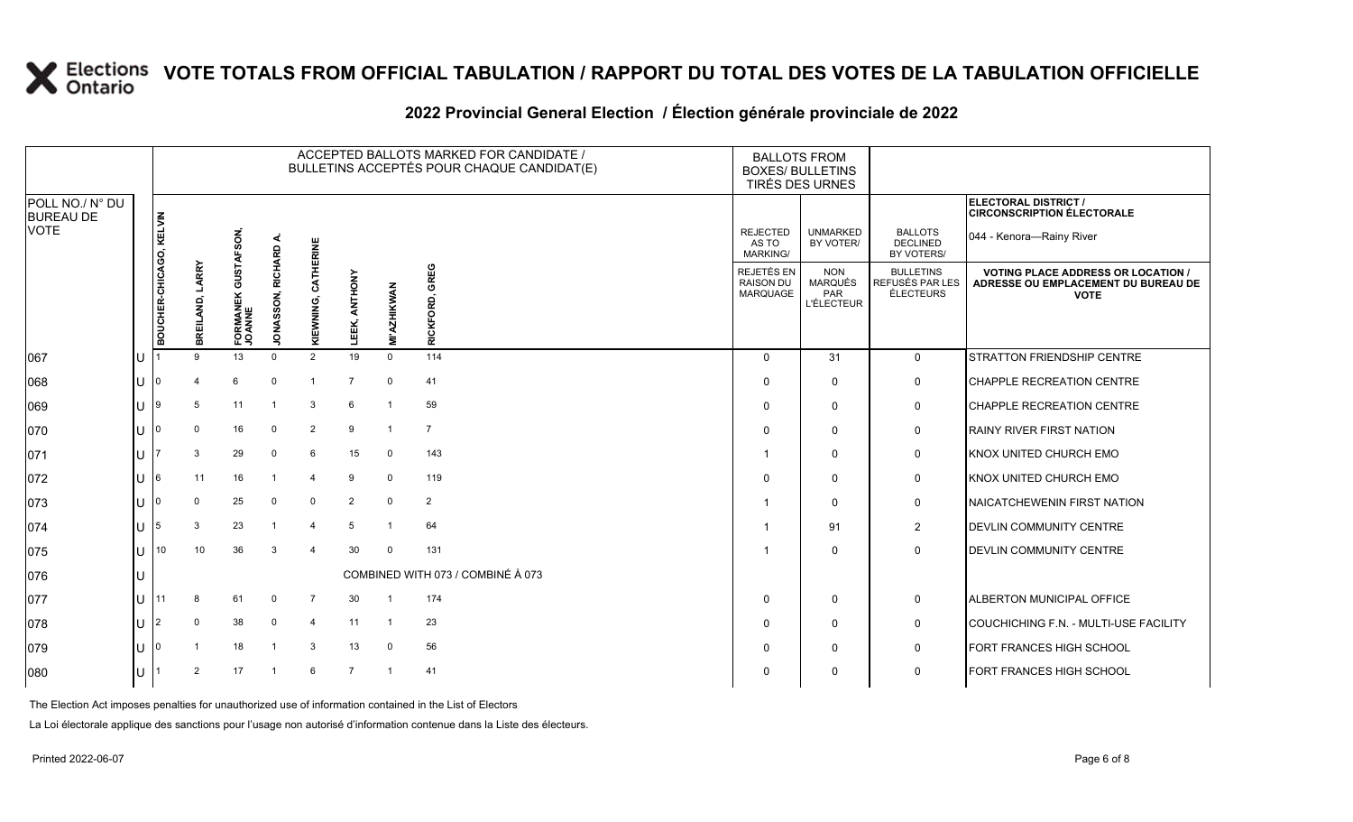### **2022 Provincial General Election / Élection générale provinciale de 2022**

|                                     |     | ACCEPTED BALLOTS MARKED FOR CANDIDATE /<br>BULLETINS ACCEPTÉS POUR CHAQUE CANDIDAT(E) |                                     |                               |                             |                     |                  |                    |                                   | <b>BOXES/ BULLETINS</b>                    | <b>BALLOTS FROM</b><br>TIRÉS DES URNES            |                                                  |                                                                                                 |
|-------------------------------------|-----|---------------------------------------------------------------------------------------|-------------------------------------|-------------------------------|-----------------------------|---------------------|------------------|--------------------|-----------------------------------|--------------------------------------------|---------------------------------------------------|--------------------------------------------------|-------------------------------------------------------------------------------------------------|
| POLL NO./ N° DU<br><b>BUREAU DE</b> |     |                                                                                       |                                     |                               |                             |                     |                  |                    |                                   |                                            |                                                   |                                                  | ELECTORAL DISTRICT /<br><b>CIRCONSCRIPTION ÉLECTORALE</b>                                       |
| <b>VOTE</b>                         |     |                                                                                       |                                     |                               |                             |                     |                  |                    |                                   | <b>REJECTED</b><br>AS TO<br>MARKING/       | <b>UNMARKED</b><br>BY VOTER/                      | <b>BALLOTS</b><br><b>DECLINED</b><br>BY VOTERS/  | 044 - Kenora-Rainy River                                                                        |
|                                     |     | BOUCHER-CHICAGO, KELVIN                                                               | LARRY<br>REILAND,<br>$\overline{m}$ | FORMANEK GUSTAFSON,<br>JOANNE | RICHARD<br><b>JONASSON,</b> | KIEWNING, CATHERINE | ANTHONY<br>LEEK, | <b>MI'AZHIKWAN</b> | GREG<br>RICKFORD,                 | REJETÉS EN<br><b>RAISON DU</b><br>MARQUAGE | <b>NON</b><br>MARQUÉS<br>PAR<br><b>L'ÉLECTEUR</b> | <b>BULLETINS</b><br>REFUSÉS PAR LES<br>ÉLECTEURS | <b>VOTING PLACE ADDRESS OR LOCATION /</b><br>ADRESSE OU EMPLACEMENT DU BUREAU DE<br><b>VOTE</b> |
| 067                                 | IU  |                                                                                       | 9                                   | 13                            | $\Omega$                    | 2                   | 19               | $\Omega$           | 114                               | $\Omega$                                   | 31                                                | $\mathbf 0$                                      | <b>STRATTON FRIENDSHIP CENTRE</b>                                                               |
| 860                                 | lul | 10                                                                                    |                                     | 6                             | $\mathbf 0$                 |                     | $\overline{7}$   | $\mathbf 0$        | 41                                | $\mathbf 0$                                | $\mathbf 0$                                       | 0                                                | CHAPPLE RECREATION CENTRE                                                                       |
| 069                                 | ΙU  | ۱g                                                                                    | 5                                   | 11                            |                             | 3                   | 6                |                    | 59                                | $\Omega$                                   | $\Omega$                                          | $\mathbf 0$                                      | CHAPPLE RECREATION CENTRE                                                                       |
| 070                                 | ΙU  |                                                                                       | $\mathbf 0$                         | 16                            | $\mathbf 0$                 | 2                   | 9                | $\overline{1}$     | $\overline{7}$                    | $\Omega$                                   | $\mathbf{0}$                                      | $\mathbf 0$                                      | <b>RAINY RIVER FIRST NATION</b>                                                                 |
| 071                                 | lU. |                                                                                       | 3                                   | 29                            | 0                           | 6                   | 15               | $\mathbf 0$        | 143                               |                                            | $\mathbf{0}$                                      | 0                                                | KNOX UNITED CHURCH EMO                                                                          |
| 072                                 | ΙU  | 16.                                                                                   | 11                                  | 16                            |                             | 4                   | 9                | $\mathbf 0$        | 119                               | $\Omega$                                   | $\mathbf{0}$                                      | 0                                                | KNOX UNITED CHURCH EMO                                                                          |
| 073                                 | ΙU  |                                                                                       | $\Omega$                            | 25                            | $\Omega$                    | $\mathbf 0$         | $\overline{2}$   | $\mathbf 0$        | $\overline{2}$                    |                                            | $\mathbf{0}$                                      | 0                                                | NAICATCHEWENIN FIRST NATION                                                                     |
| 074                                 | lU  | 5                                                                                     | 3                                   | 23                            |                             | $\overline{4}$      | -5               | $\overline{1}$     | 64                                |                                            | 91                                                | $\overline{c}$                                   | DEVLIN COMMUNITY CENTRE                                                                         |
| 075                                 | lU  | 10                                                                                    | 10                                  | 36                            | 3                           | Δ                   | 30               | $\Omega$           | 131                               |                                            | $\mathbf{0}$                                      | 0                                                | DEVLIN COMMUNITY CENTRE                                                                         |
| 076                                 | IU  |                                                                                       |                                     |                               |                             |                     |                  |                    | COMBINED WITH 073 / COMBINÉ À 073 |                                            |                                                   |                                                  |                                                                                                 |
| 077                                 | IU. | 11                                                                                    | -8                                  | 61                            | 0                           | $\overline{7}$      | 30               | $\overline{1}$     | 174                               | $\Omega$                                   | $\mathbf 0$                                       | 0                                                | <b>ALBERTON MUNICIPAL OFFICE</b>                                                                |
| 078                                 | Iυ  | 12                                                                                    | $\Omega$                            | 38                            | $\mathbf 0$                 | $\overline{4}$      | 11               | - 1                | 23                                | $\Omega$                                   | 0                                                 | $\mathbf 0$                                      | COUCHICHING F.N. - MULTI-USE FACILITY                                                           |
| 079                                 | lu  |                                                                                       |                                     | 18                            | -1                          | 3                   | 13               | $\mathbf 0$        | 56                                | $\Omega$                                   | 0                                                 | 0                                                | FORT FRANCES HIGH SCHOOL                                                                        |
| 080                                 | lU  |                                                                                       | $\overline{2}$                      | 17                            | $\overline{1}$              | 6                   | $\overline{7}$   | $\overline{1}$     | 41                                | $\Omega$                                   | $\mathbf{0}$                                      | $\mathbf 0$                                      | FORT FRANCES HIGH SCHOOL                                                                        |

The Election Act imposes penalties for unauthorized use of information contained in the List of Electors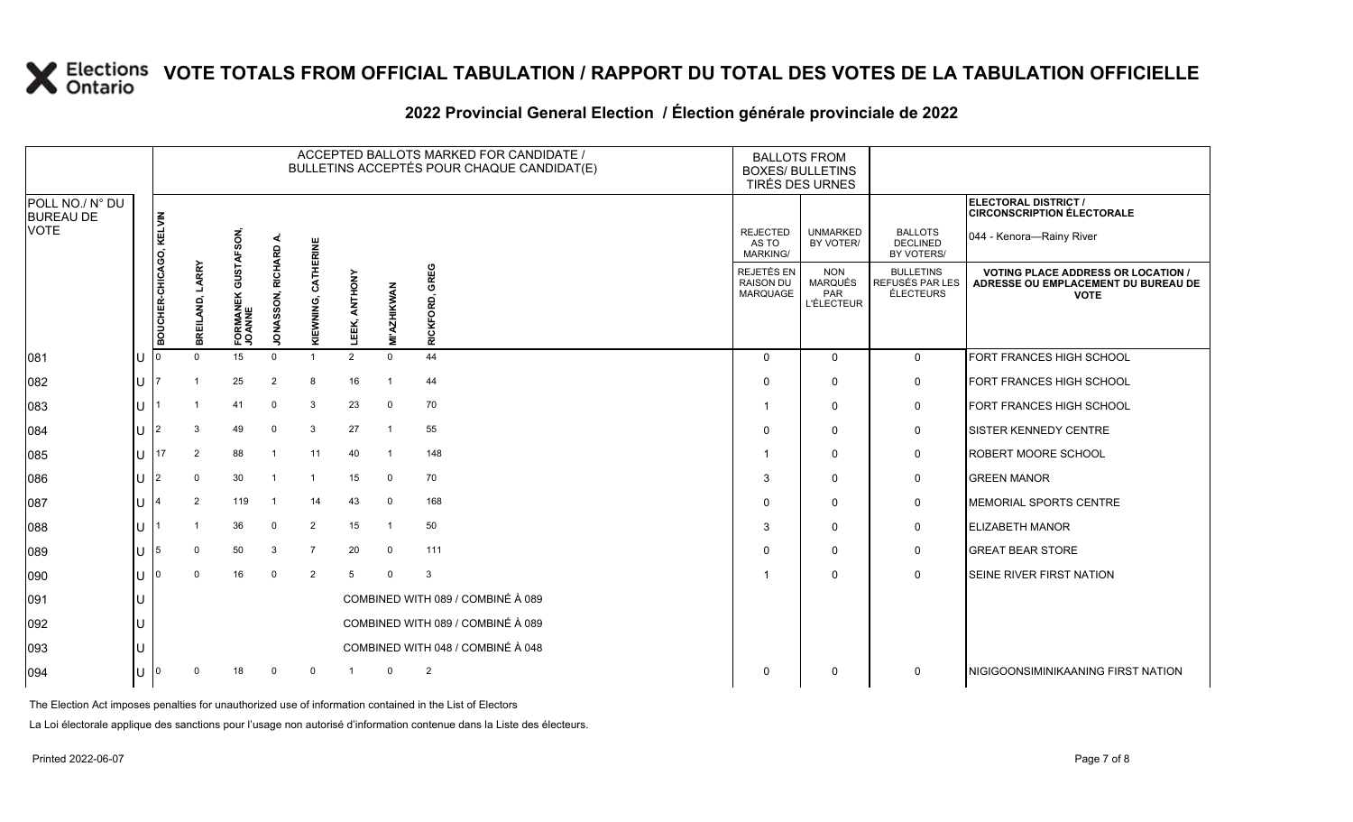### **2022 Provincial General Election / Élection générale provinciale de 2022**

|                                     |                         |                    |                                |                   |                     |                  |                    | ACCEPTED BALLOTS MARKED FOR CANDIDATE /<br>BULLETINS ACCEPTÉS POUR CHAQUE CANDIDAT(E) |                                             | <b>BALLOTS FROM</b><br><b>BOXES/ BULLETINS</b><br>TIRÉS DES URNES |                                                  |                                                                                                 |
|-------------------------------------|-------------------------|--------------------|--------------------------------|-------------------|---------------------|------------------|--------------------|---------------------------------------------------------------------------------------|---------------------------------------------|-------------------------------------------------------------------|--------------------------------------------------|-------------------------------------------------------------------------------------------------|
| POLL NO./ N° DU<br><b>BUREAU DE</b> |                         |                    |                                |                   |                     |                  |                    |                                                                                       |                                             |                                                                   |                                                  | ELECTORAL DISTRICT /<br><b>CIRCONSCRIPTION ÉLECTORALE</b>                                       |
| <b>VOTE</b>                         |                         |                    | ŠON,                           |                   |                     |                  |                    |                                                                                       | <b>REJECTED</b><br>AS TO<br><b>MARKING/</b> | <b>UNMARKED</b><br>BY VOTER/                                      | <b>BALLOTS</b><br><b>DECLINED</b><br>BY VOTERS/  | 044 - Kenora—Rainy River                                                                        |
|                                     | BOUCHER-CHICAGO, KELVIN | LARRY<br>BREILAND, | GUSTAF<br>FORMANEK (<br>JOANNE | JONASSON, RICHARD | KIEWNING, CATHERINE | ANTHONY<br>LEEK, | <b>MI'AZHIKWAN</b> | GREG<br>ម៉<br><b>RICKFOI</b>                                                          | REJETÉS EN<br><b>RAISON DU</b><br>MARQUAGE  | <b>NON</b><br><b>MARQUÉS</b><br>PAR<br><b>L'ÉLECTEUR</b>          | <b>BULLETINS</b><br>REFUSÉS PAR LES<br>ÉLECTEURS | <b>VOTING PLACE ADDRESS OR LOCATION /</b><br>ADRESSE OU EMPLACEMENT DU BUREAU DE<br><b>VOTE</b> |
| 081                                 |                         |                    | 15                             | $\Omega$          | $\mathbf{1}$        | 2                | $\mathbf 0$        | 44                                                                                    | $\Omega$                                    | $\Omega$                                                          | $\mathbf 0$                                      | FORT FRANCES HIGH SCHOOL                                                                        |
| 082                                 |                         |                    | 25                             | 2                 | 8                   | 16               | $\overline{1}$     | 44                                                                                    | $\Omega$                                    | $\mathbf 0$                                                       | 0                                                | FORT FRANCES HIGH SCHOOL                                                                        |
| 083                                 |                         |                    | 41                             | $\Omega$          | 3                   | 23               | $\mathbf 0$        | 70                                                                                    |                                             | $\mathbf 0$                                                       | 0                                                | FORT FRANCES HIGH SCHOOL                                                                        |
| 084                                 |                         | 3                  | 49                             | $\Omega$          | 3                   | 27               | $\overline{1}$     | 55                                                                                    | $\Omega$                                    | $\mathbf 0$                                                       | 0                                                | <b>SISTER KENNEDY CENTRE</b>                                                                    |
| 085                                 | 17                      | 2                  | 88                             |                   | 11                  | 40               | $\overline{1}$     | 148                                                                                   |                                             | $\mathbf 0$                                                       | 0                                                | <b>ROBERT MOORE SCHOOL</b>                                                                      |
| 086                                 |                         | 0                  | 30                             |                   | -1                  | 15               | $\mathbf 0$        | 70                                                                                    | 3                                           | $\mathbf 0$                                                       | $\mathbf 0$                                      | <b>GREEN MANOR</b>                                                                              |
| 087                                 |                         | $\overline{2}$     | 119                            | $\mathbf{1}$      | 14                  | 43               | $\mathbf 0$        | 168                                                                                   | $\Omega$                                    | $\mathbf 0$                                                       | 0                                                | MEMORIAL SPORTS CENTRE                                                                          |
| 088                                 |                         |                    | 36                             | $\mathbf 0$       | 2                   | 15               | $\overline{1}$     | 50                                                                                    | 3                                           | $\mathbf 0$                                                       | 0                                                | <b>ELIZABETH MANOR</b>                                                                          |
| 089                                 |                         |                    | 50                             | 3                 | $\overline{7}$      | 20               | $\mathbf 0$        | 111                                                                                   | $\Omega$                                    | $\mathbf 0$                                                       | $\mathbf 0$                                      | <b>GREAT BEAR STORE</b>                                                                         |
| 090                                 |                         | $\Omega$           | 16                             | $\Omega$          | $\overline{2}$      | 5                | $\Omega$           | 3                                                                                     |                                             | $\mathbf 0$                                                       | $\mathbf 0$                                      | <b>SEINE RIVER FIRST NATION</b>                                                                 |
| 091                                 |                         |                    |                                |                   |                     |                  |                    | COMBINED WITH 089 / COMBINÉ À 089                                                     |                                             |                                                                   |                                                  |                                                                                                 |
| 092                                 |                         |                    |                                |                   |                     |                  |                    | COMBINED WITH 089 / COMBINÉ À 089                                                     |                                             |                                                                   |                                                  |                                                                                                 |
| 093                                 |                         |                    |                                |                   |                     |                  |                    | COMBINED WITH 048 / COMBINÉ À 048                                                     |                                             |                                                                   |                                                  |                                                                                                 |
| 094                                 |                         |                    | 18                             |                   | $\Omega$            |                  | $\Omega$           | $\overline{2}$                                                                        | $\Omega$                                    | $\mathbf 0$                                                       | $\mathbf 0$                                      | <b>NIGIGOONSIMINIKAANING FIRST NATION</b>                                                       |

The Election Act imposes penalties for unauthorized use of information contained in the List of Electors